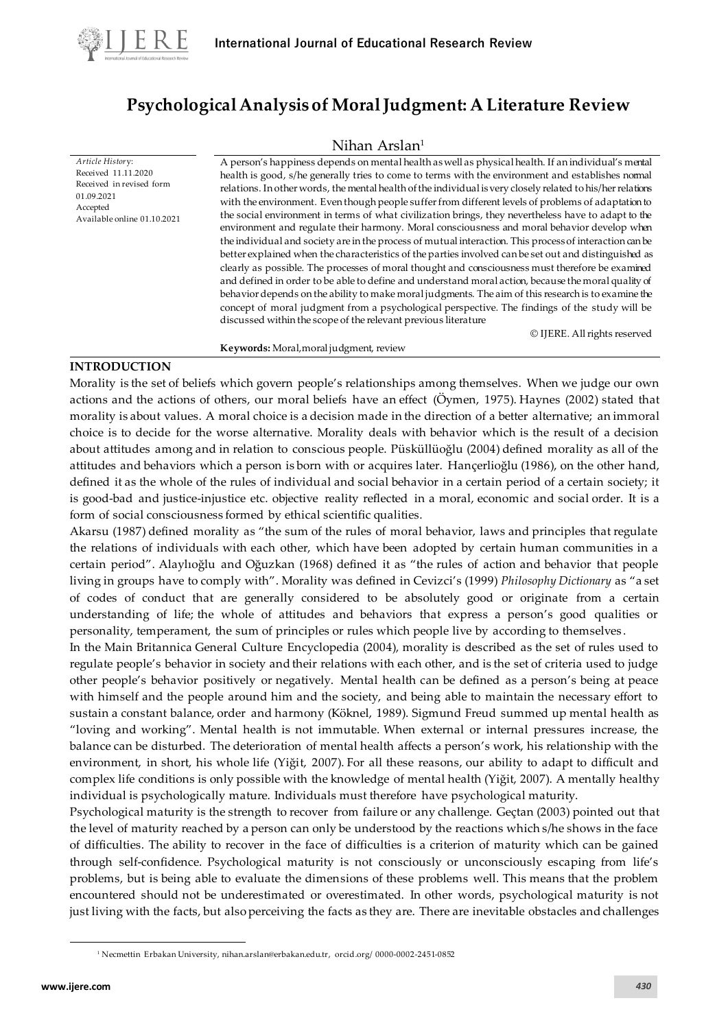

*Article Histor*y: Received 11.11.2020 Received in revised form

Available online 01.10.2021

01.09.2021 Accepted

# **Psychological Analysis of Moral Judgment: A Literature Review**

## Nihan Arslan<sup>1</sup>

A person's happiness depends on mental health as well as physical health. If an individual's mental health is good, s/he generally tries to come to terms with the environment and establishes normal relations. In other words, the mental health of the individual is very closely related to his/her relations with the environment. Even though people suffer from different levels of problems of adaptation to the social environment in terms of what civilization brings, they nevertheless have to adapt to the environment and regulate their harmony. Moral consciousness and moral behavior develop when the individual and society are in the process of mutual interaction. This process of interaction can be better explained when the characteristics of the parties involved can be set out and distinguished as clearly as possible. The processes of moral thought and consciousness must therefore be examined and defined in order to be able to define and understand moral action, because the moral quality of behavior depends on the ability to make moral judgments. The aim of this research is to examine the concept of moral judgment from a psychological perspective. The findings of the study will be discussed within the scope of the relevant previous literature

© IJERE. All rights reserved

#### **Keywords:** Moral,moral judgment, review

#### **INTRODUCTION**

Morality is the set of beliefs which govern people's relationships among themselves. When we judge our own actions and the actions of others, our moral beliefs have an effect (Öymen, 1975). Haynes (2002) stated that morality is about values. A moral choice is a decision made in the direction of a better alternative; an immoral choice is to decide for the worse alternative. Morality deals with behavior which is the result of a decision about attitudes among and in relation to conscious people. Püsküllüoğlu (2004) defined morality as all of the attitudes and behaviors which a person is born with or acquires later. Hançerlioğlu (1986), on the other hand, defined it as the whole of the rules of individual and social behavior in a certain period of a certain society; it is good-bad and justice-injustice etc. objective reality reflected in a moral, economic and social order. It is a form of social consciousness formed by ethical scientific qualities.

Akarsu (1987) defined morality as "the sum of the rules of moral behavior, laws and principles that regulate the relations of individuals with each other, which have been adopted by certain human communities in a certain period". Alaylıoğlu and Oğuzkan (1968) defined it as "the rules of action and behavior that people living in groups have to comply with". Morality was defined in Cevizci's (1999) *Philosophy Dictionary* as "a set of codes of conduct that are generally considered to be absolutely good or originate from a certain understanding of life; the whole of attitudes and behaviors that express a person's good qualities or personality, temperament, the sum of principles or rules which people live by according to themselves .

In the Main Britannica General Culture Encyclopedia (2004), morality is described as the set of rules used to regulate people's behavior in society and their relations with each other, and is the set of criteria used to judge other people's behavior positively or negatively. Mental health can be defined as a person's being at peace with himself and the people around him and the society, and being able to maintain the necessary effort to sustain a constant balance, order and harmony (Köknel, 1989). Sigmund Freud summed up mental health as "loving and working". Mental health is not immutable. When external or internal pressures increase, the balance can be disturbed. The deterioration of mental health affects a person's work, his relationship with the environment, in short, his whole life (Yiğit, 2007). For all these reasons, our ability to adapt to difficult and complex life conditions is only possible with the knowledge of mental health (Yiğit, 2007). A mentally healthy individual is psychologically mature. Individuals must therefore have psychological maturity.

Psychological maturity is the strength to recover from failure or any challenge. Geçtan (2003) pointed out that the level of maturity reached by a person can only be understood by the reactions which s/he shows in the face of difficulties. The ability to recover in the face of difficulties is a criterion of maturity which can be gained through self-confidence. Psychological maturity is not consciously or unconsciously escaping from life's problems, but is being able to evaluate the dimensions of these problems well. This means that the problem encountered should not be underestimated or overestimated. In other words, psychological maturity is not just living with the facts, but also perceiving the facts as they are. There are inevitable obstacles and challenges

<sup>1</sup> Necmettin Erbakan University[, nihan.arslan@erbakan.edu.tr,](mailto:nihan.arslan@erbakan.edu.tr) orcid.org/ [0000-0002-2451-0852](https://orcid.org/0000-0002-8497-1212?lang=en)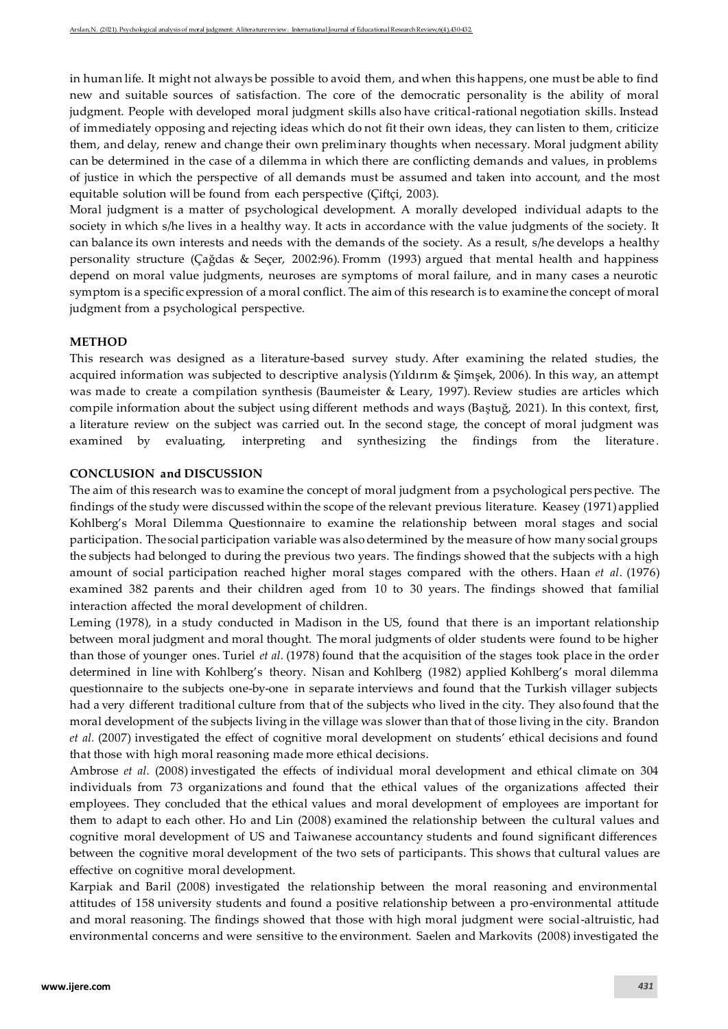in human life. It might not always be possible to avoid them, and when this happens, one must be able to find new and suitable sources of satisfaction. The core of the democratic personality is the ability of moral judgment. People with developed moral judgment skills also have critical-rational negotiation skills. Instead of immediately opposing and rejecting ideas which do not fit their own ideas, they can listen to them, criticize them, and delay, renew and change their own preliminary thoughts when necessary. Moral judgment ability can be determined in the case of a dilemma in which there are conflicting demands and values, in problems of justice in which the perspective of all demands must be assumed and taken into account, and the most equitable solution will be found from each perspective (Çiftçi, 2003).

Moral judgment is a matter of psychological development. A morally developed individual adapts to the society in which s/he lives in a healthy way. It acts in accordance with the value judgments of the society. It can balance its own interests and needs with the demands of the society. As a result, s/he develops a healthy personality structure (Çağdas & Seçer, 2002:96). Fromm (1993) argued that mental health and happiness depend on moral value judgments, neuroses are symptoms of moral failure, and in many cases a neurotic symptom is a specific expression of a moral conflict. The aim of this research is to examine the concept of moral judgment from a psychological perspective.

#### **METHOD**

This research was designed as a literature-based survey study. After examining the related studies, the acquired information was subjected to descriptive analysis (Yıldırım & Şimşek, 2006). In this way, an attempt was made to create a compilation synthesis (Baumeister & Leary, 1997). Review studies are articles which compile information about the subject using different methods and ways (Baştuğ, 2021). In this context, first, a literature review on the subject was carried out. In the second stage, the concept of moral judgment was examined by evaluating, interpreting and synthesizing the findings from the literature.

### **CONCLUSION and DISCUSSION**

The aim of this research was to examine the concept of moral judgment from a psychological perspective. The findings of the study were discussed within the scope of the relevant previous literature. Keasey (1971) applied Kohlberg's Moral Dilemma Questionnaire to examine the relationship between moral stages and social participation. The social participation variable was also determined by the measure of how many social groups the subjects had belonged to during the previous two years. The findings showed that the subjects with a high amount of social participation reached higher moral stages compared with the others. Haan *et al*. (1976) examined 382 parents and their children aged from 10 to 30 years. The findings showed that familial interaction affected the moral development of children.

Leming (1978), in a study conducted in Madison in the US, found that there is an important relationship between moral judgment and moral thought. The moral judgments of older students were found to be higher than those of younger ones. Turiel *et al.* (1978) found that the acquisition of the stages took place in the order determined in line with Kohlberg's theory. Nisan and Kohlberg (1982) applied Kohlberg's moral dilemma questionnaire to the subjects one-by-one in separate interviews and found that the Turkish villager subjects had a very different traditional culture from that of the subjects who lived in the city. They also found that the moral development of the subjects living in the village was slower than that of those living in the city. Brandon *et al.* (2007) investigated the effect of cognitive moral development on students' ethical decisions and found that those with high moral reasoning made more ethical decisions.

Ambrose *et al.* (2008) investigated the effects of individual moral development and ethical climate on 304 individuals from 73 organizations and found that the ethical values of the organizations affected their employees. They concluded that the ethical values and moral development of employees are important for them to adapt to each other. Ho and Lin (2008) examined the relationship between the cultural values and cognitive moral development of US and Taiwanese accountancy students and found significant differences between the cognitive moral development of the two sets of participants. This shows that cultural values are effective on cognitive moral development.

Karpiak and Baril (2008) investigated the relationship between the moral reasoning and environmental attitudes of 158 university students and found a positive relationship between a pro-environmental attitude and moral reasoning. The findings showed that those with high moral judgment were social-altruistic, had environmental concerns and were sensitive to the environment. Saelen and Markovits (2008) investigated the